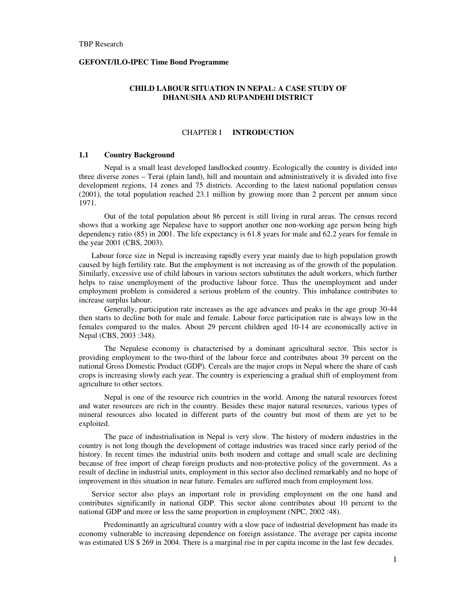#### **GEFONT/ILO-IPEC Time Bond Programme**

## **CHILD LABOUR SITUATION IN NEPAL: A CASE STUDY OF DHANUSHA AND RUPANDEHI DISTRICT**

#### CHAPTER I **INTRODUCTION**

#### **1.1 Country Background**

Nepal is a small least developed landlocked country. Ecologically the country is divided into three diverse zones – Terai (plain land), hill and mountain and administratively it is divided into five development regions, 14 zones and 75 districts. According to the latest national population census (2001), the total population reached 23.1 million by growing more than 2 percent per annum since 1971.

Out of the total population about 86 percent is still living in rural areas. The census record shows that a working age Nepalese have to support another one non-working age person being high dependency ratio (85) in 2001. The life expectancy is 61.8 years for male and 62.2 years for female in the year 2001 (CBS, 2003).

Labour force size in Nepal is increasing rapidly every year mainly due to high population growth caused by high fertility rate. But the employment is not increasing as of the growth of the population. Similarly, excessive use of child labours in various sectors substitutes the adult workers, which further helps to raise unemployment of the productive labour force. Thus the unemployment and under employment problem is considered a serious problem of the country. This imbalance contributes to increase surplus labour.

Generally, participation rate increases as the age advances and peaks in the age group 30-44 then starts to decline both for male and female. Labour force participation rate is always low in the females compared to the males. About 29 percent children aged 10-14 are economically active in Nepal (CBS, 2003 :348).

The Nepalese economy is characterised by a dominant agricultural sector. This sector is providing employment to the two-third of the labour force and contributes about 39 percent on the national Gross Domestic Product (GDP). Cereals are the major crops in Nepal where the share of cash crops is increasing slowly each year. The country is experiencing a gradual shift of employment from agriculture to other sectors.

Nepal is one of the resource rich countries in the world. Among the natural resources forest and water resources are rich in the country. Besides these major natural resources, various types of mineral resources also located in different parts of the country but most of them are yet to be exploited.

The pace of industrialisation in Nepal is very slow. The history of modern industries in the country is not long though the development of cottage industries was traced since early period of the history. In recent times the industrial units both modern and cottage and small scale are declining because of free import of cheap foreign products and non-protective policy of the government. As a result of decline in industrial units, employment in this sector also declined remarkably and no hope of improvement in this situation in near future. Females are suffered much from employment loss.

Service sector also plays an important role in providing employment on the one hand and contributes significantly in national GDP. This sector alone contributes about 10 percent to the national GDP and more or less the same proportion in employment (NPC, 2002 :48).

Predominantly an agricultural country with a slow pace of industrial development has made its economy vulnerable to increasing dependence on foreign assistance. The average per capita income was estimated US \$ 269 in 2004. There is a marginal rise in per capita income in the last few decades.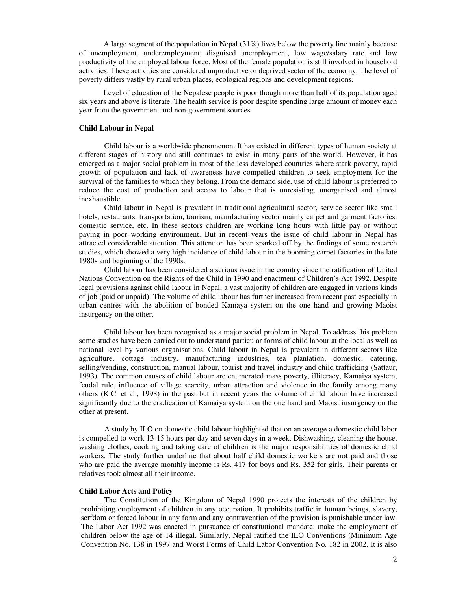A large segment of the population in Nepal (31%) lives below the poverty line mainly because of unemployment, underemployment, disguised unemployment, low wage/salary rate and low productivity of the employed labour force. Most of the female population is still involved in household activities. These activities are considered unproductive or deprived sector of the economy. The level of poverty differs vastly by rural urban places, ecological regions and development regions.

Level of education of the Nepalese people is poor though more than half of its population aged six years and above is literate. The health service is poor despite spending large amount of money each year from the government and non-government sources.

#### **Child Labour in Nepal**

Child labour is a worldwide phenomenon. It has existed in different types of human society at different stages of history and still continues to exist in many parts of the world. However, it has emerged as a major social problem in most of the less developed countries where stark poverty, rapid growth of population and lack of awareness have compelled children to seek employment for the survival of the families to which they belong. From the demand side, use of child labour is preferred to reduce the cost of production and access to labour that is unresisting, unorganised and almost inexhaustible.

Child labour in Nepal is prevalent in traditional agricultural sector, service sector like small hotels, restaurants, transportation, tourism, manufacturing sector mainly carpet and garment factories, domestic service, etc. In these sectors children are working long hours with little pay or without paying in poor working environment. But in recent years the issue of child labour in Nepal has attracted considerable attention. This attention has been sparked off by the findings of some research studies, which showed a very high incidence of child labour in the booming carpet factories in the late 1980s and beginning of the 1990s.

Child labour has been considered a serious issue in the country since the ratification of United Nations Convention on the Rights of the Child in 1990 and enactment of Children's Act 1992. Despite legal provisions against child labour in Nepal, a vast majority of children are engaged in various kinds of job (paid or unpaid). The volume of child labour has further increased from recent past especially in urban centres with the abolition of bonded Kamaya system on the one hand and growing Maoist insurgency on the other.

Child labour has been recognised as a major social problem in Nepal. To address this problem some studies have been carried out to understand particular forms of child labour at the local as well as national level by various organisations. Child labour in Nepal is prevalent in different sectors like agriculture, cottage industry, manufacturing industries, tea plantation, domestic, catering, selling/vending, construction, manual labour, tourist and travel industry and child trafficking (Sattaur, 1993). The common causes of child labour are enumerated mass poverty, illiteracy, Kamaiya system, feudal rule, influence of village scarcity, urban attraction and violence in the family among many others (K.C. et al., 1998) in the past but in recent years the volume of child labour have increased significantly due to the eradication of Kamaiya system on the one hand and Maoist insurgency on the other at present.

A study by ILO on domestic child labour highlighted that on an average a domestic child labor is compelled to work 13-15 hours per day and seven days in a week. Dishwashing, cleaning the house, washing clothes, cooking and taking care of children is the major responsibilities of domestic child workers. The study further underline that about half child domestic workers are not paid and those who are paid the average monthly income is Rs. 417 for boys and Rs. 352 for girls. Their parents or relatives took almost all their income.

#### **Child Labor Acts and Policy**

The Constitution of the Kingdom of Nepal 1990 protects the interests of the children by prohibiting employment of children in any occupation. It prohibits traffic in human beings, slavery, serfdom or forced labour in any form and any contravention of the provision is punishable under law. The Labor Act 1992 was enacted in pursuance of constitutional mandate; make the employment of children below the age of 14 illegal. Similarly, Nepal ratified the ILO Conventions (Minimum Age Convention No. 138 in 1997 and Worst Forms of Child Labor Convention No. 182 in 2002. It is also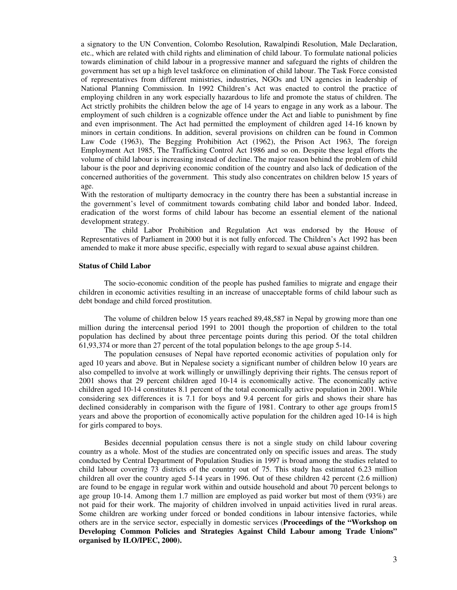a signatory to the UN Convention, Colombo Resolution, Rawalpindi Resolution, Male Declaration, etc., which are related with child rights and elimination of child labour. To formulate national policies towards elimination of child labour in a progressive manner and safeguard the rights of children the government has set up a high level taskforce on elimination of child labour. The Task Force consisted of representatives from different ministries, industries, NGOs and UN agencies in leadership of National Planning Commission. In 1992 Children's Act was enacted to control the practice of employing children in any work especially hazardous to life and promote the status of children. The Act strictly prohibits the children below the age of 14 years to engage in any work as a labour. The employment of such children is a cognizable offence under the Act and liable to punishment by fine and even imprisonment. The Act had permitted the employment of children aged 14-16 known by minors in certain conditions. In addition, several provisions on children can be found in Common Law Code (1963), The Begging Prohibition Act (1962), the Prison Act 1963, The foreign Employment Act 1985, The Trafficking Control Act 1986 and so on. Despite these legal efforts the volume of child labour is increasing instead of decline. The major reason behind the problem of child labour is the poor and depriving economic condition of the country and also lack of dedication of the concerned authorities of the government. This study also concentrates on children below 15 years of age.

With the restoration of multiparty democracy in the country there has been a substantial increase in the government's level of commitment towards combating child labor and bonded labor. Indeed, eradication of the worst forms of child labour has become an essential element of the national development strategy.

 The child Labor Prohibition and Regulation Act was endorsed by the House of Representatives of Parliament in 2000 but it is not fully enforced. The Children's Act 1992 has been amended to make it more abuse specific, especially with regard to sexual abuse against children.

#### **Status of Child Labor**

The socio-economic condition of the people has pushed families to migrate and engage their children in economic activities resulting in an increase of unacceptable forms of child labour such as debt bondage and child forced prostitution.

 The volume of children below 15 years reached 89,48,587 in Nepal by growing more than one million during the intercensal period 1991 to 2001 though the proportion of children to the total population has declined by about three percentage points during this period. Of the total children 61,93,374 or more than 27 percent of the total population belongs to the age group 5-14.

 The population censuses of Nepal have reported economic activities of population only for aged 10 years and above. But in Nepalese society a significant number of children below 10 years are also compelled to involve at work willingly or unwillingly depriving their rights. The census report of 2001 shows that 29 percent children aged 10-14 is economically active. The economically active children aged 10-14 constitutes 8.1 percent of the total economically active population in 2001. While considering sex differences it is 7.1 for boys and 9.4 percent for girls and shows their share has declined considerably in comparison with the figure of 1981. Contrary to other age groups from15 years and above the proportion of economically active population for the children aged 10-14 is high for girls compared to boys.

 Besides decennial population census there is not a single study on child labour covering country as a whole. Most of the studies are concentrated only on specific issues and areas. The study conducted by Central Department of Population Studies in 1997 is broad among the studies related to child labour covering 73 districts of the country out of 75. This study has estimated 6.23 million children all over the country aged 5-14 years in 1996. Out of these children 42 percent (2.6 million) are found to be engage in regular work within and outside household and about 70 percent belongs to age group 10-14. Among them 1.7 million are employed as paid worker but most of them (93%) are not paid for their work. The majority of children involved in unpaid activities lived in rural areas. Some children are working under forced or bonded conditions in labour intensive factories, while others are in the service sector, especially in domestic services (**Proceedings of the "Workshop on Developing Common Policies and Strategies Against Child Labour among Trade Unions" organised by ILO/IPEC, 2000).**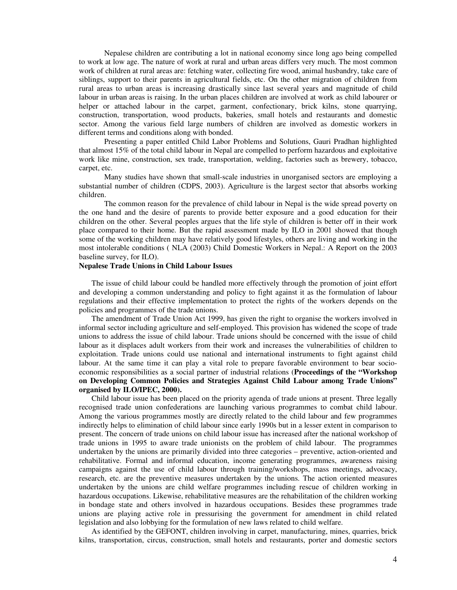Nepalese children are contributing a lot in national economy since long ago being compelled to work at low age. The nature of work at rural and urban areas differs very much. The most common work of children at rural areas are: fetching water, collecting fire wood, animal husbandry, take care of siblings, support to their parents in agricultural fields, etc. On the other migration of children from rural areas to urban areas is increasing drastically since last several years and magnitude of child labour in urban areas is raising. In the urban places children are involved at work as child labourer or helper or attached labour in the carpet, garment, confectionary, brick kilns, stone quarrying, construction, transportation, wood products, bakeries, small hotels and restaurants and domestic sector. Among the various field large numbers of children are involved as domestic workers in different terms and conditions along with bonded.

Presenting a paper entitled Child Labor Problems and Solutions, Gauri Pradhan highlighted that almost 15% of the total child labour in Nepal are compelled to perform hazardous and exploitative work like mine, construction, sex trade, transportation, welding, factories such as brewery, tobacco, carpet, etc.

Many studies have shown that small-scale industries in unorganised sectors are employing a substantial number of children (CDPS, 2003). Agriculture is the largest sector that absorbs working children.

 The common reason for the prevalence of child labour in Nepal is the wide spread poverty on the one hand and the desire of parents to provide better exposure and a good education for their children on the other. Several peoples argues that the life style of children is better off in their work place compared to their home. But the rapid assessment made by ILO in 2001 showed that though some of the working children may have relatively good lifestyles, others are living and working in the most intolerable conditions ( NLA (2003) Child Domestic Workers in Nepal.: A Report on the 2003 baseline survey, for ILO).

#### **Nepalese Trade Unions in Child Labour Issues**

The issue of child labour could be handled more effectively through the promotion of joint effort and developing a common understanding and policy to fight against it as the formulation of labour regulations and their effective implementation to protect the rights of the workers depends on the policies and programmes of the trade unions.

The amendment of Trade Union Act 1999, has given the right to organise the workers involved in informal sector including agriculture and self-employed. This provision has widened the scope of trade unions to address the issue of child labour. Trade unions should be concerned with the issue of child labour as it displaces adult workers from their work and increases the vulnerabilities of children to exploitation. Trade unions could use national and international instruments to fight against child labour. At the same time it can play a vital role to prepare favorable environment to bear socioeconomic responsibilities as a social partner of industrial relations (**Proceedings of the "Workshop on Developing Common Policies and Strategies Against Child Labour among Trade Unions" organised by ILO/IPEC, 2000).**

Child labour issue has been placed on the priority agenda of trade unions at present. Three legally recognised trade union confederations are launching various programmes to combat child labour. Among the various programmes mostly are directly related to the child labour and few programmes indirectly helps to elimination of child labour since early 1990s but in a lesser extent in comparison to present. The concern of trade unions on child labour issue has increased after the national workshop of trade unions in 1995 to aware trade unionists on the problem of child labour. The programmes undertaken by the unions are primarily divided into three categories – preventive, action-oriented and rehabilitative. Formal and informal education, income generating programmes, awareness raising campaigns against the use of child labour through training/workshops, mass meetings, advocacy, research, etc. are the preventive measures undertaken by the unions. The action oriented measures undertaken by the unions are child welfare programmes including rescue of children working in hazardous occupations. Likewise, rehabilitative measures are the rehabilitation of the children working in bondage state and others involved in hazardous occupations. Besides these programmes trade unions are playing active role in pressurising the government for amendment in child related legislation and also lobbying for the formulation of new laws related to child welfare.

As identified by the GEFONT, children involving in carpet, manufacturing, mines, quarries, brick kilns, transportation, circus, construction, small hotels and restaurants, porter and domestic sectors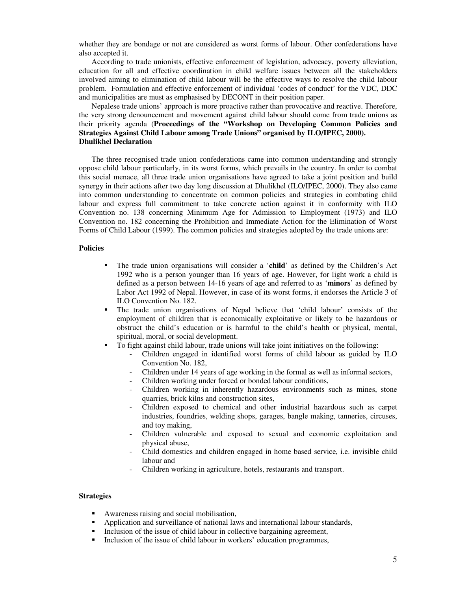whether they are bondage or not are considered as worst forms of labour. Other confederations have also accepted it.

According to trade unionists, effective enforcement of legislation, advocacy, poverty alleviation, education for all and effective coordination in child welfare issues between all the stakeholders involved aiming to elimination of child labour will be the effective ways to resolve the child labour problem. Formulation and effective enforcement of individual 'codes of conduct' for the VDC, DDC and municipalities are must as emphasised by DECONT in their position paper.

## Nepalese trade unions' approach is more proactive rather than provocative and reactive. Therefore, the very strong denouncement and movement against child labour should come from trade unions as their priority agenda (**Proceedings of the "Workshop on Developing Common Policies and Strategies Against Child Labour among Trade Unions" organised by ILO/IPEC, 2000). Dhulikhel Declaration**

The three recognised trade union confederations came into common understanding and strongly oppose child labour particularly, in its worst forms, which prevails in the country. In order to combat this social menace, all three trade union organisations have agreed to take a joint position and build synergy in their actions after two day long discussion at Dhulikhel (ILO/IPEC, 2000). They also came into common understanding to concentrate on common policies and strategies in combating child labour and express full commitment to take concrete action against it in conformity with ILO Convention no. 138 concerning Minimum Age for Admission to Employment (1973) and ILO Convention no. 182 concerning the Prohibition and Immediate Action for the Elimination of Worst Forms of Child Labour (1999). The common policies and strategies adopted by the trade unions are:

#### **Policies**

- The trade union organisations will consider a '**child**' as defined by the Children's Act 1992 who is a person younger than 16 years of age. However, for light work a child is defined as a person between 14-16 years of age and referred to as '**minors**' as defined by Labor Act 1992 of Nepal. However, in case of its worst forms, it endorses the Article 3 of ILO Convention No. 182.
- The trade union organisations of Nepal believe that 'child labour' consists of the employment of children that is economically exploitative or likely to be hazardous or obstruct the child's education or is harmful to the child's health or physical, mental, spiritual, moral, or social development.
- To fight against child labour, trade unions will take joint initiatives on the following:
	- Children engaged in identified worst forms of child labour as guided by ILO Convention No. 182,
	- Children under 14 years of age working in the formal as well as informal sectors,
	- Children working under forced or bonded labour conditions,
	- Children working in inherently hazardous environments such as mines, stone quarries, brick kilns and construction sites,
	- Children exposed to chemical and other industrial hazardous such as carpet industries, foundries, welding shops, garages, bangle making, tanneries, circuses, and toy making,
	- Children vulnerable and exposed to sexual and economic exploitation and physical abuse,
	- Child domestics and children engaged in home based service, i.e. invisible child labour and
	- Children working in agriculture, hotels, restaurants and transport.

#### **Strategies**

- Awareness raising and social mobilisation,
- Application and surveillance of national laws and international labour standards,
- Inclusion of the issue of child labour in collective bargaining agreement,
- Inclusion of the issue of child labour in workers' education programmes,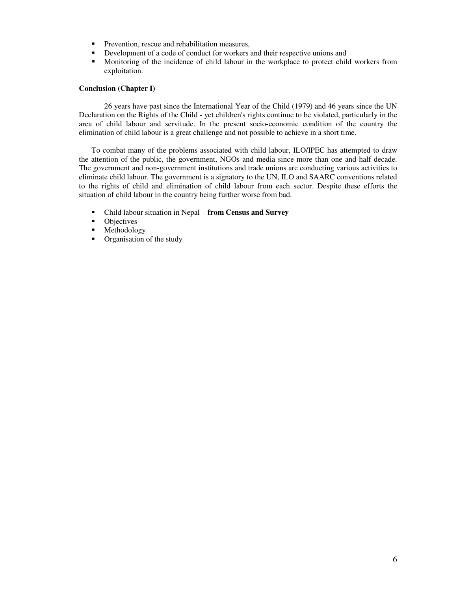- **Prevention, rescue and rehabilitation measures,**
- Development of a code of conduct for workers and their respective unions and
- Monitoring of the incidence of child labour in the workplace to protect child workers from exploitation.

### **Conclusion (Chapter I)**

26 years have past since the International Year of the Child (1979) and 46 years since the UN Declaration on the Rights of the Child - yet children's rights continue to be violated, particularly in the area of child labour and servitude. In the present socio-economic condition of the country the elimination of child labour is a great challenge and not possible to achieve in a short time.

To combat many of the problems associated with child labour, ILO/IPEC has attempted to draw the attention of the public, the government, NGOs and media since more than one and half decade. The government and non-government institutions and trade unions are conducting various activities to eliminate child labour. The government is a signatory to the UN, ILO and SAARC conventions related to the rights of child and elimination of child labour from each sector. Despite these efforts the situation of child labour in the country being further worse from bad.

- Child labour situation in Nepal **from Census and Survey**
- Objectives
- **Methodology**
- Organisation of the study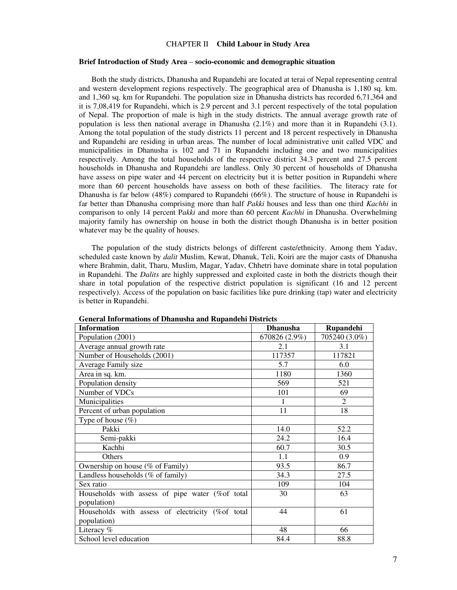#### CHAPTER II **Child Labour in Study Area**

#### **Brief Introduction of Study Area** – **socio-economic and demographic situation**

Both the study districts, Dhanusha and Rupandehi are located at terai of Nepal representing central and western development regions respectively. The geographical area of Dhanusha is 1,180 sq. km. and 1,360 sq. km for Rupandehi. The population size in Dhanusha districts has recorded 6,71,364 and it is 7,08,419 for Rupandehi, which is 2.9 percent and 3.1 percent respectively of the total population of Nepal. The proportion of male is high in the study districts. The annual average growth rate of population is less then national average in Dhanusha (2.1%) and more than it in Rupandehi (3.1). Among the total population of the study districts 11 percent and 18 percent respectively in Dhanusha and Rupandehi are residing in urban areas. The number of local administrative unit called VDC and municipalities in Dhanusha is 102 and 71 in Rupandehi including one and two municipalities respectively. Among the total households of the respective district 34.3 percent and 27.5 percent households in Dhanusha and Rupandehi are landless. Only 30 percent of households of Dhanusha have assess on pipe water and 44 percent on electricity but it is better position in Rupandehi where more than 60 percent households have assess on both of these facilities. The literacy rate for Dhanusha is far below (48%) compared to Rupandehi (66%). The structure of house in Rupandehi is far better than Dhanusha comprising more than half *Pakki* houses and less than one third *Kachhi* in comparison to only 14 percent P*akki* and more than 60 percent *Kachhi* in Dhanusha. Overwhelming majority family has ownership on house in both the district though Dhanusha is in better position whatever may be the quality of houses.

The population of the study districts belongs of different caste/ethnicity. Among them Yadav, scheduled caste known by *dalit* Muslim, Kewat, Dhanuk, Teli, Koiri are the major casts of Dhanusha where Brahmin, dalit, Tharu, Muslim, Magar, Yadav, Chhetri have dominate share in total population in Rupandehi. The *Dalits* are highly suppressed and exploited caste in both the districts though their share in total population of the respective district population is significant (16 and 12 percent respectively). Access of the population on basic facilities like pure drinking (tap) water and electricity is better in Rupandehi.

| mornianono or D'hanaona ana rapanaem D'iorrea<br><b>Information</b> | <b>Dhanusha</b> | Rupandehi     |
|---------------------------------------------------------------------|-----------------|---------------|
| Population (2001)                                                   | 670826 (2.9%)   | 705240 (3.0%) |
| Average annual growth rate                                          | 2.1             | 3.1           |
| Number of Households (2001)                                         | 117357          | 117821        |
| Average Family size                                                 | 5.7             | 6.0           |
| Area in sq. km.                                                     | 1180            | 1360          |
| Population density                                                  | 569             | 521           |
| Number of VDCs                                                      | 101             | 69            |
| Municipalities                                                      | 1               | 2             |
| Percent of urban population                                         | 11              | 18            |
| Type of house $(\%)$                                                |                 |               |
| Pakki                                                               | 14.0            | 52.2          |
| Semi-pakki                                                          | 24.2            | 16.4          |
| Kachhi                                                              | 60.7            | 30.5          |
| Others                                                              | 1.1             | 0.9           |
| Ownership on house (% of Family)                                    | 93.5            | 86.7          |
| Landless households (% of family)                                   | 34.3            | 27.5          |
| Sex ratio                                                           | 109             | 104           |
| Households with assess of pipe water (%of total                     | 30              | 63            |
| population)                                                         |                 |               |
| Households with assess of electricity (%of total                    | 44              | 61            |
| population)                                                         |                 |               |
| Literacy %                                                          | 48              | 66            |
| School level education                                              | 84.4            | 88.8          |

**General Informations of Dhanusha and Rupandehi Districts**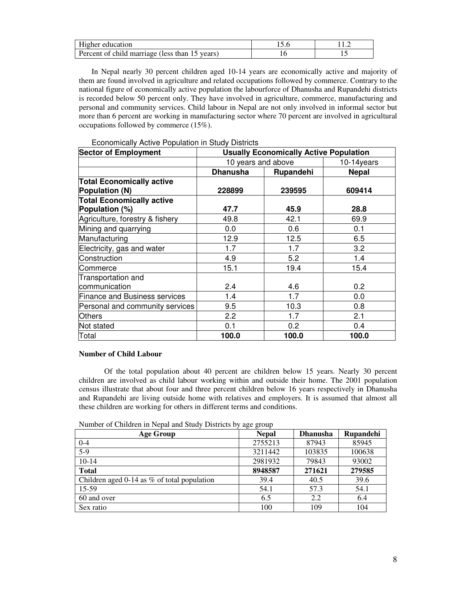| Higher education                               |  |
|------------------------------------------------|--|
| Percent of child marriage (less than 15 years) |  |

In Nepal nearly 30 percent children aged 10-14 years are economically active and majority of them are found involved in agriculture and related occupations followed by commerce. Contrary to the national figure of economically active population the labourforce of Dhanusha and Rupandehi districts is recorded below 50 percent only. They have involved in agriculture, commerce, manufacturing and personal and community services. Child labour in Nepal are not only involved in informal sector but more than 6 percent are working in manufacturing sector where 70 percent are involved in agricultural occupations followed by commerce (15%).

| <b>Sector of Employment</b>                        | <b>Usually Economically Active Population</b> |               |              |  |
|----------------------------------------------------|-----------------------------------------------|---------------|--------------|--|
|                                                    | 10 years and above                            | $10-14$ years |              |  |
|                                                    | <b>Dhanusha</b>                               | Rupandehi     | <b>Nepal</b> |  |
| <b>Total Economically active</b><br>Population (N) | 228899                                        | 239595        | 609414       |  |
| <b>Total Economically active</b>                   |                                               |               |              |  |
| Population (%)                                     | 47.7                                          | 45.9          | 28.8         |  |
| Agriculture, forestry & fishery                    | 49.8                                          | 42.1          | 69.9         |  |
| Mining and quarrying                               | 0.0                                           | 0.6           | 0.1          |  |
| Manufacturing                                      | 12.9                                          | 12.5          | 6.5          |  |
| Electricity, gas and water                         | 1.7                                           | 1.7           | 3.2          |  |
| Construction                                       | 4.9                                           | 5.2           | 1.4          |  |
| Commerce                                           | 15.1                                          | 19.4          | 15.4         |  |
| Transportation and<br>communication                | 2.4                                           | 4.6           | 0.2          |  |
| <b>Finance and Business services</b>               | 1.4                                           | 1.7           | 0.0          |  |
| Personal and community services                    | 9.5                                           | 10.3          | 0.8          |  |
| <b>Others</b>                                      | 2.2                                           | 1.7           | 2.1          |  |
| Not stated                                         | 0.1                                           | 0.2           | 0.4          |  |
| Total                                              | 100.0                                         | 100.0         | 100.0        |  |

Economically Active Population in Study Districts

#### **Number of Child Labour**

Of the total population about 40 percent are children below 15 years. Nearly 30 percent children are involved as child labour working within and outside their home. The 2001 population census illustrate that about four and three percent children below 16 years respectively in Dhanusha and Rupandehi are living outside home with relatives and employers. It is assumed that almost all these children are working for others in different terms and conditions.

| Age Group                                     | <b>Nepal</b> | <b>Dhanusha</b> | Rupandehi |
|-----------------------------------------------|--------------|-----------------|-----------|
| $0 - 4$                                       | 2755213      | 87943           | 85945     |
| $5-9$                                         | 3211442      | 103835          | 100638    |
| $10-14$                                       | 2981932      | 79843           | 93002     |
| <b>Total</b>                                  | 8948587      | 271621          | 279585    |
| Children aged 0-14 as $%$ of total population | 39.4         | 40.5            | 39.6      |
| 15-59                                         | 54.1         | 57.3            | 54.1      |
| 60 and over                                   | 6.5          | 2.2             | 6.4       |
| Sex ratio                                     | 100          | 109             | 104       |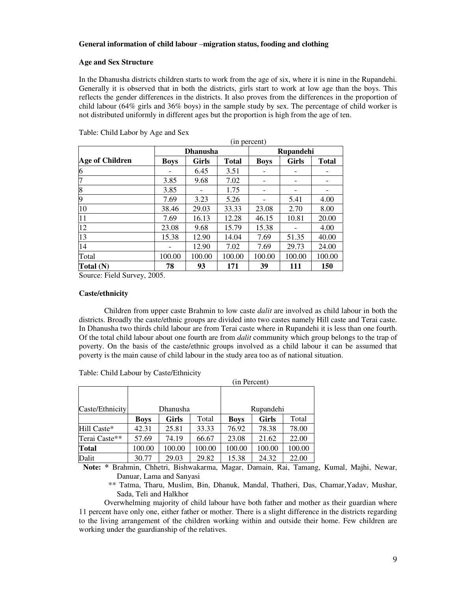## **General information of child labour** –**migration status, fooding and clothing**

#### **Age and Sex Structure**

In the Dhanusha districts children starts to work from the age of six, where it is nine in the Rupandehi. Generally it is observed that in both the districts, girls start to work at low age than the boys. This reflects the gender differences in the districts. It also proves from the differences in the proportion of child labour ( $64\%$  girls and  $36\%$  boys) in the sample study by sex. The percentage of child worker is not distributed uniformly in different ages but the proportion is high from the age of ten.

|                 | (in percent) |                 |              |             |              |              |
|-----------------|--------------|-----------------|--------------|-------------|--------------|--------------|
|                 |              | <b>Dhanusha</b> |              |             | Rupandehi    |              |
| Age of Children | <b>Boys</b>  | Girls           | <b>Total</b> | <b>Boys</b> | <b>Girls</b> | <b>Total</b> |
| 6               |              | 6.45            | 3.51         |             |              |              |
|                 | 3.85         | 9.68            | 7.02         |             |              |              |
| 8               | 3.85         |                 | 1.75         |             |              |              |
| Q               | 7.69         | 3.23            | 5.26         |             | 5.41         | 4.00         |
| 10              | 38.46        | 29.03           | 33.33        | 23.08       | 2.70         | 8.00         |
| 11              | 7.69         | 16.13           | 12.28        | 46.15       | 10.81        | 20.00        |
| 12              | 23.08        | 9.68            | 15.79        | 15.38       |              | 4.00         |
| 13              | 15.38        | 12.90           | 14.04        | 7.69        | 51.35        | 40.00        |
| 14              |              | 12.90           | 7.02         | 7.69        | 29.73        | 24.00        |
| Total           | 100.00       | 100.00          | 100.00       | 100.00      | 100.00       | 100.00       |
| Total (N)       | 78           | 93              | 171          | 39          | 111          | 150          |

Table: Child Labor by Age and Sex

Source: Field Survey, 2005.

#### **Caste/ethnicity**

Children from upper caste Brahmin to low caste *dalit* are involved as child labour in both the districts. Broadly the caste/ethnic groups are divided into two castes namely Hill caste and Terai caste. In Dhanusha two thirds child labour are from Terai caste where in Rupandehi it is less than one fourth. Of the total child labour about one fourth are from *dalit* community which group belongs to the trap of poverty. On the basis of the caste/ethnic groups involved as a child labour it can be assumed that poverty is the main cause of child labour in the study area too as of national situation.

|                 | (in Percent) |              |        |             |              |        |
|-----------------|--------------|--------------|--------|-------------|--------------|--------|
|                 |              |              |        |             |              |        |
| Caste/Ethnicity |              | Dhanusha     |        |             | Rupandehi    |        |
|                 | Boys         | <b>Girls</b> | Total  | <b>Boys</b> | <b>Girls</b> | Total  |
| Hill Caste*     | 42.31        | 25.81        | 33.33  | 76.92       | 78.38        | 78.00  |
| Terai Caste**   | 57.69        | 74.19        | 66.67  | 23.08       | 21.62        | 22.00  |
| <b>Total</b>    | 100.00       | 100.00       | 100.00 | 100.00      | 100.00       | 100.00 |
| Dalit           | 30.77        | 29.03        | 29.82  | 15.38       | 24.32        | 22.00  |

Table: Child Labour by Caste/Ethnicity

**Note: \*** Brahmin, Chhetri, Bishwakarma, Magar, Damain, Rai, Tamang, Kumal, Majhi, Newar, Danuar, Lama and Sanyasi

\*\* Tatma, Tharu, Muslim, Bin, Dhanuk, Mandal, Thatheri, Das, Chamar,Yadav, Mushar, Sada, Teli and Halkhor

Overwhelming majority of child labour have both father and mother as their guardian where 11 percent have only one, either father or mother. There is a slight difference in the districts regarding to the living arrangement of the children working within and outside their home. Few children are working under the guardianship of the relatives.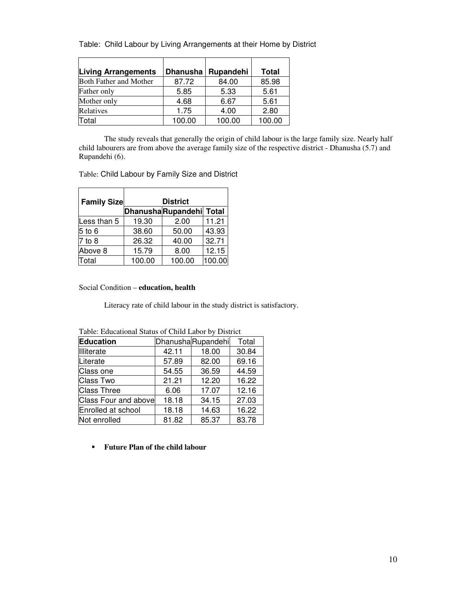|  |  |  | Table: Child Labour by Living Arrangements at their Home by District |
|--|--|--|----------------------------------------------------------------------|
|--|--|--|----------------------------------------------------------------------|

| <b>Living Arrangements</b>    | <b>Dhanusha</b> | Rupandehi | <b>Total</b> |
|-------------------------------|-----------------|-----------|--------------|
| <b>Both Father and Mother</b> | 87.72           | 84.00     | 85.98        |
| Father only                   | 5.85            | 5.33      | 5.61         |
| Mother only                   | 4.68            | 6.67      | 5.61         |
| Relatives                     | 1.75            | 4.00      | 2.80         |
| Total                         | 100.00          | 100.00    | 100.00       |

 The study reveals that generally the origin of child labour is the large family size. Nearly half child labourers are from above the average family size of the respective district - Dhanusha (5.7) and Rupandehi (6).

L.

Table: Child Labour by Family Size and District

j.

| <b>Family Size</b> | <b>District</b> |                         |        |  |  |
|--------------------|-----------------|-------------------------|--------|--|--|
|                    |                 | DhanushaRupandehi Total |        |  |  |
| Less than 5        | 19.30           | 2.00                    | 11.21  |  |  |
| $5$ to $6$         | 38.60           | 50.00                   | 43.93  |  |  |
| $7$ to $8$         | 26.32           | 40.00                   | 32.71  |  |  |
| Above 8            | 15.79           | 8.00                    | 12.15  |  |  |
| Total              | 100.00          | 100.00                  | 100.00 |  |  |

Social Condition – **education, health**

Literacy rate of child labour in the study district is satisfactory.

| Tuble. Buddhimm Dialas of Child Babot 04 District |       |                   |       |  |  |
|---------------------------------------------------|-------|-------------------|-------|--|--|
| <b>Education</b>                                  |       | DhanushaRupandehi | Total |  |  |
| Illiterate                                        | 42.11 | 18.00             | 30.84 |  |  |
| Literate                                          | 57.89 | 82.00             | 69.16 |  |  |
| Class one                                         | 54.55 | 36.59             | 44.59 |  |  |
| Class Two                                         | 21.21 | 12.20             | 16.22 |  |  |
| <b>Class Three</b>                                | 6.06  | 17.07             | 12.16 |  |  |
| <b>Class Four and above</b>                       | 18.18 | 34.15             | 27.03 |  |  |
| Enrolled at school                                | 18.18 | 14.63             | 16.22 |  |  |
| Not enrolled                                      | 81.82 | 85.37             | 83.78 |  |  |

Table: Educational Status of Child Labor by District

**Future Plan of the child labour**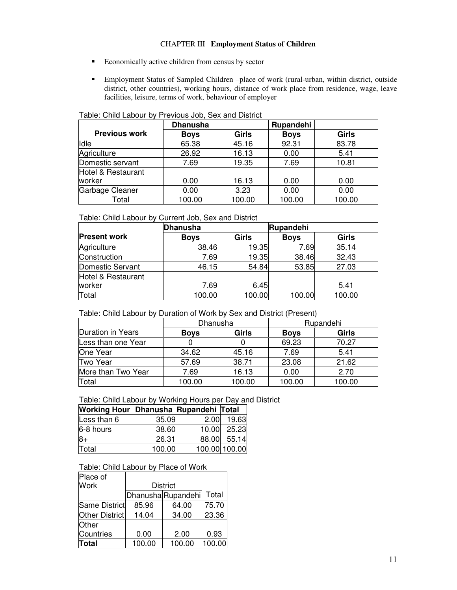## CHAPTER III **Employment Status of Children**

- **Exercise** Economically active children from census by sector
- Employment Status of Sampled Children –place of work (rural-urban, within district, outside district, other countries), working hours, distance of work place from residence, wage, leave facilities, leisure, terms of work, behaviour of employer

|                      | <b>Dhanusha</b> |              | Rupandehi   |              |
|----------------------|-----------------|--------------|-------------|--------------|
| <b>Previous work</b> | <b>Boys</b>     | <b>Girls</b> | <b>Boys</b> | <b>Girls</b> |
| Idle                 | 65.38           | 45.16        | 92.31       | 83.78        |
| Agriculture          | 26.92           | 16.13        | 0.00        | 5.41         |
| Domestic servant     | 7.69            | 19.35        | 7.69        | 10.81        |
| Hotel & Restaurant   |                 |              |             |              |
| worker               | 0.00            | 16.13        | 0.00        | 0.00         |
| Garbage Cleaner      | 0.00            | 3.23         | 0.00        | 0.00         |
| Total                | 100.00          | 100.00       | 100.00      | 100.00       |

## Table: Child Labour by Previous Job, Sex and District

Table: Child Labour by Current Job, Sex and District

|                     | Dhanusha    | Rupandehi    |             |              |
|---------------------|-------------|--------------|-------------|--------------|
| <b>Present work</b> | <b>Boys</b> | <b>Girls</b> | <b>Boys</b> | <b>Girls</b> |
| Agriculture         | 38.46       | 19.35        | 7.69        | 35.14        |
| Construction        | 7.69        | 19.35        | 38.46       | 32.43        |
| Domestic Servant    | 46.15       | 54.84        | 53.85       | 27.03        |
| Hotel & Restaurant  |             |              |             |              |
| worker              | 7.69        | 6.45         |             | 5.41         |
| Total               | 100.00      | 100.00       | 100.00      | 100.00       |

## Table: Child Labour by Duration of Work by Sex and District (Present)

|                          | Dhanusha    |              |             | Rupandehi    |
|--------------------------|-------------|--------------|-------------|--------------|
| <b>Duration in Years</b> | <b>Boys</b> | <b>Girls</b> | <b>Boys</b> | <b>Girls</b> |
| Less than one Year       |             |              | 69.23       | 70.27        |
| One Year                 | 34.62       | 45.16        | 7.69        | 5.41         |
| Two Year                 | 57.69       | 38.71        | 23.08       | 21.62        |
| More than Two Year       | 7.69        | 16.13        | 0.00        | 2.70         |
| Total                    | 100.00      | 100.00       | 100.00      | 100.00       |

## Table: Child Labour by Working Hours per Day and District

| Working Hour Dhanusha Rupandehi Total |        |       |               |
|---------------------------------------|--------|-------|---------------|
| Less than 6                           | 35.09  | 2.00  | 19.63         |
| 6-8 hours                             | 38.60  | 10.00 | 25.23         |
| 8+                                    | 26.31  |       | 88.00 55.14   |
| Total                                 | 100.00 |       | 100.00 100.00 |

## Table: Child Labour by Place of Work

| Place of       |        |                   |        |
|----------------|--------|-------------------|--------|
| <b>Work</b>    |        | <b>District</b>   |        |
|                |        | DhanushaRupandehi | Total  |
| Same District  | 85.96  | 64.00             | 75.70  |
| Other District | 14.04  | 34.00             | 23.36  |
| <b>Other</b>   |        |                   |        |
| Countries      | 0.00   | 2.00              | 0.93   |
| <b>Total</b>   | 100.00 | 100.00            | 100.00 |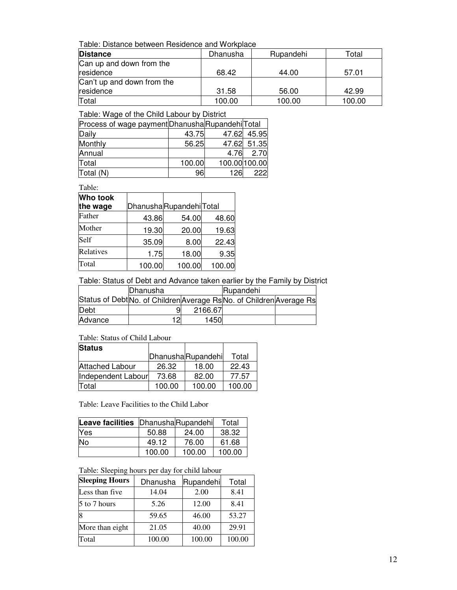Table: Distance between Residence and Workplace

| <b>Distance</b>            | Dhanusha | Rupandehi | Гоtal  |
|----------------------------|----------|-----------|--------|
| Can up and down from the   |          |           |        |
| residence                  | 68.42    | 44.00     | 57.01  |
| Can't up and down from the |          |           |        |
| residence                  | 31.58    | 56.00     | 42.99  |
| Total                      | 100.00   | 100.00    | 100.00 |

Table: Wage of the Child Labour by District

| Process of wage payment Dhanusha Rupandehi Total |        |       |               |
|--------------------------------------------------|--------|-------|---------------|
| Daily                                            | 43.75  | 47.62 | 45.95         |
| Monthly                                          | 56.25  |       | 47.62 51.35   |
| Annual                                           |        | 4.76  | 2.70          |
| Total                                            | 100.00 |       | 100.00 100.00 |
| Total (N)                                        | 96     | 126   | 222           |

Table:

| Who took  |        |                        |        |
|-----------|--------|------------------------|--------|
| the wage  |        | DhanushaRupandehiTotal |        |
| Father    | 43.86  | 54.00                  | 48.60  |
| Mother    | 19.30  | 20.00                  | 19.63  |
| Self      | 35.09  | 8.00                   | 22.43  |
| Relatives | 1.75   | 18.00                  | 9.35   |
| Total     | 100.00 | 100.00                 | 100.00 |

Table: Status of Debt and Advance taken earlier by the Family by District

|         | <b>Dhanusha</b> |         | Rupandehi                                                            |  |
|---------|-----------------|---------|----------------------------------------------------------------------|--|
|         |                 |         | Status of Debt No. of Children Average Rs No. of Children Average Rs |  |
| Debt    |                 | 2166.67 |                                                                      |  |
| Advance | 12              | 1450    |                                                                      |  |

## Table: Status of Child Labour

| <b>Status</b>          |        |                   |        |
|------------------------|--------|-------------------|--------|
|                        |        | DhanushaRupandehi | Total  |
| <b>Attached Labour</b> | 26.32  | 18.00             | 22.43  |
| Independent Labour     | 73.68  | 82.00             | 77.57  |
| Total                  | 100.00 | 100.00            | 100.00 |

Table: Leave Facilities to the Child Labor

| <b>Leave facilities</b> DhanushaRupandehi |        |        | Total  |
|-------------------------------------------|--------|--------|--------|
| Yes                                       | 50.88  | 24.00  | 38.32  |
| No                                        | 49.12  | 76.00  | 61.68  |
|                                           | 100.00 | 100.00 | 100.00 |

## Table: Sleeping hours per day for child labour

| <b>Sleeping Hours</b> | Dhanusha | Rupandehi | Total  |
|-----------------------|----------|-----------|--------|
| Less than five        | 14.04    | 2.00      | 8.41   |
| 5 to 7 hours          | 5.26     | 12.00     | 8.41   |
|                       | 59.65    | 46.00     | 53.27  |
| More than eight       | 21.05    | 40.00     | 29.91  |
| Total                 | 100.00   | 100.00    | 100.00 |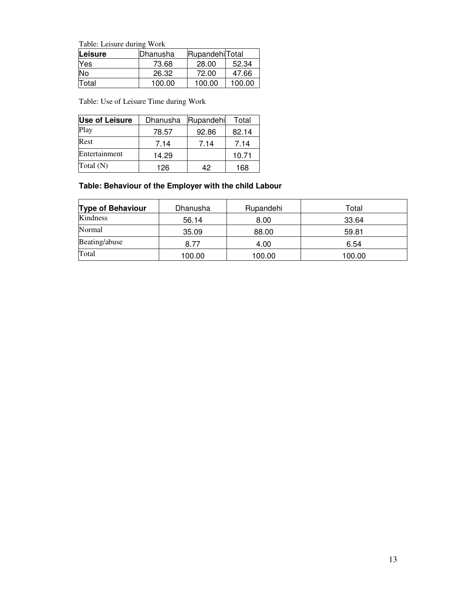Table: Leisure during Work

| Leisure      | lDhanusha | RupandehilTotal |        |
|--------------|-----------|-----------------|--------|
| <b>Yes</b>   | 73.68     | 28.00           | 52.34  |
| No           | 26.32     | 72.00           | 47.66  |
| <b>Total</b> | 100.00    | 100.00          | 100.00 |

Table: Use of Leisure Time during Work

| <b>Use of Leisure</b> | Dhanusha | Rupandehi | Total |
|-----------------------|----------|-----------|-------|
| Play                  | 78.57    | 92.86     | 82.14 |
| Rest                  | 7.14     | 7.14      | 7.14  |
| Entertainment         | 14.29    |           | 10.71 |
| Total $(N)$           | 126      | 42        | 168   |

# **Table: Behaviour of the Employer with the child Labour**

| <b>Type of Behaviour</b> | Dhanusha | Rupandehi | Total  |
|--------------------------|----------|-----------|--------|
| Kindness                 | 56.14    | 8.00      | 33.64  |
| Normal                   | 35.09    | 88.00     | 59.81  |
| Beating/abuse            | 8.77     | 4.00      | 6.54   |
| Total                    | 100.00   | 100.00    | 100.00 |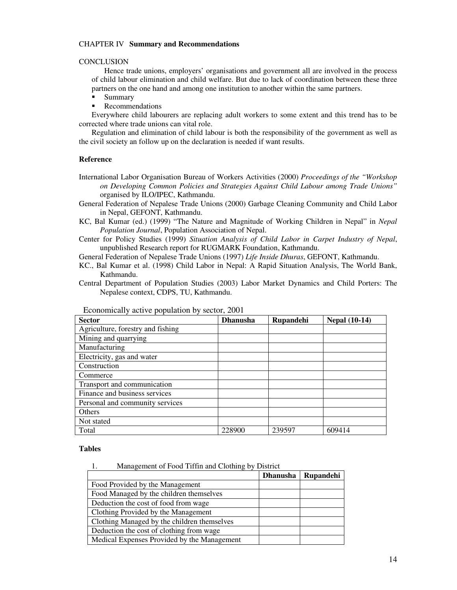### CHAPTER IV **Summary and Recommendations**

## **CONCLUSION**

Hence trade unions, employers' organisations and government all are involved in the process of child labour elimination and child welfare. But due to lack of coordination between these three partners on the one hand and among one institution to another within the same partners.

- Summary
- **Recommendations**

Everywhere child labourers are replacing adult workers to some extent and this trend has to be corrected where trade unions can vital role.

Regulation and elimination of child labour is both the responsibility of the government as well as the civil society an follow up on the declaration is needed if want results.

#### **Reference**

- International Labor Organisation Bureau of Workers Activities (2000) *Proceedings of the "Workshop on Developing Common Policies and Strategies Against Child Labour among Trade Unions"* organised by ILO/IPEC, Kathmandu.
- General Federation of Nepalese Trade Unions (2000) Garbage Cleaning Community and Child Labor in Nepal, GEFONT, Kathmandu.
- KC, Bal Kumar (ed.) (1999) "The Nature and Magnitude of Working Children in Nepal" in *Nepal Population Journal*, Population Association of Nepal.
- Center for Policy Studies (1999) *Situation Analysis of Child Labor in Carpet Industry of Nepal*, unpublished Research report for RUGMARK Foundation, Kathmandu.
- General Federation of Nepalese Trade Unions (1997) *Life Inside Dhuras*, GEFONT, Kathmandu.
- KC., Bal Kumar et al. (1998) Child Labor in Nepal: A Rapid Situation Analysis, The World Bank, Kathmandu.
- Central Department of Population Studies (2003) Labor Market Dynamics and Child Porters: The Nepalese context, CDPS, TU, Kathmandu.

| <b>Sector</b>                     | <b>Dhanusha</b> | Rupandehi | <b>Nepal (10-14)</b> |
|-----------------------------------|-----------------|-----------|----------------------|
| Agriculture, forestry and fishing |                 |           |                      |
| Mining and quarrying              |                 |           |                      |
| Manufacturing                     |                 |           |                      |
| Electricity, gas and water        |                 |           |                      |
| Construction                      |                 |           |                      |
| Commerce                          |                 |           |                      |
| Transport and communication       |                 |           |                      |
| Finance and business services     |                 |           |                      |
| Personal and community services   |                 |           |                      |
| Others                            |                 |           |                      |
| Not stated                        |                 |           |                      |
| Total                             | 228900          | 239597    | 609414               |

Economically active population by sector, 2001

#### **Tables**

1. Management of Food Tiffin and Clothing by District

|                                             | Dhanusha   Rupandehi |
|---------------------------------------------|----------------------|
| Food Provided by the Management             |                      |
| Food Managed by the children themselves     |                      |
| Deduction the cost of food from wage        |                      |
| Clothing Provided by the Management         |                      |
| Clothing Managed by the children themselves |                      |
| Deduction the cost of clothing from wage    |                      |
| Medical Expenses Provided by the Management |                      |